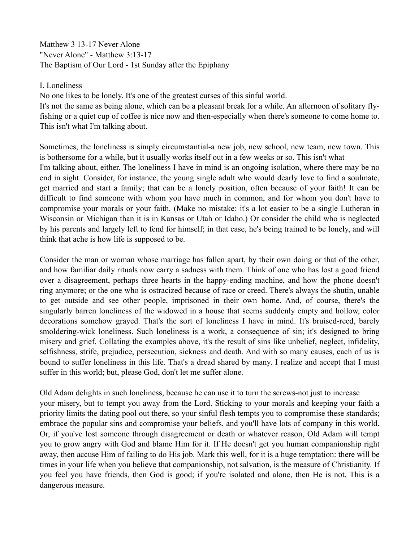Matthew 3 13-17 Never Alone "Never Alone" - Matthew 3:13-17 The Baptism of Our Lord - 1st Sunday after the Epiphany

## I. Loneliness

No one likes to be lonely. It's one of the greatest curses of this sinful world. It's not the same as being alone, which can be a pleasant break for a while. An afternoon of solitary flyfishing or a quiet cup of coffee is nice now and then-especially when there's someone to come home to. This isn't what I'm talking about.

Sometimes, the loneliness is simply circumstantial-a new job, new school, new team, new town. This is bothersome for a while, but it usually works itself out in a few weeks or so. This isn't what I'm talking about, either. The loneliness I have in mind is an ongoing isolation, where there may be no end in sight. Consider, for instance, the young single adult who would dearly love to find a soulmate, get married and start a family; that can be a lonely position, often because of your faith! It can be difficult to find someone with whom you have much in common, and for whom you don't have to compromise your morals or your faith. (Make no mistake: it's a lot easier to be a single Lutheran in Wisconsin or Michigan than it is in Kansas or Utah or Idaho.) Or consider the child who is neglected by his parents and largely left to fend for himself; in that case, he's being trained to be lonely, and will think that ache is how life is supposed to be.

Consider the man or woman whose marriage has fallen apart, by their own doing or that of the other, and how familiar daily rituals now carry a sadness with them. Think of one who has lost a good friend over a disagreement, perhaps three hearts in the happy-ending machine, and how the phone doesn't ring anymore; or the one who is ostracized because of race or creed. There's always the shutin, unable to get outside and see other people, imprisoned in their own home. And, of course, there's the singularly barren loneliness of the widowed in a house that seems suddenly empty and hollow, color decorations somehow grayed. That's the sort of loneliness I have in mind. It's bruised-reed, barely smoldering-wick loneliness. Such loneliness is a work, a consequence of sin; it's designed to bring misery and grief. Collating the examples above, it's the result of sins like unbelief, neglect, infidelity, selfishness, strife, prejudice, persecution, sickness and death. And with so many causes, each of us is bound to suffer loneliness in this life. That's a dread shared by many. I realize and accept that I must suffer in this world; but, please God, don't let me suffer alone.

Old Adam delights in such loneliness, because he can use it to turn the screws-not just to increase your misery, but to tempt you away from the Lord. Sticking to your morals and keeping your faith a priority limits the dating pool out there, so your sinful flesh tempts you to compromise these standards; embrace the popular sins and compromise your beliefs, and you'll have lots of company in this world. Or, if you've lost someone through disagreement or death or whatever reason, Old Adam will tempt you to grow angry with God and blame Him for it. If He doesn't get you human companionship right away, then accuse Him of failing to do His job. Mark this well, for it is a huge temptation: there will be times in your life when you believe that companionship, not salvation, is the measure of Christianity. If you feel you have friends, then God is good; if you're isolated and alone, then He is not. This is a dangerous measure.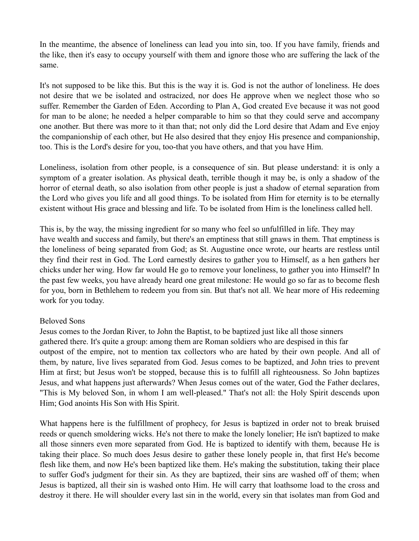In the meantime, the absence of loneliness can lead you into sin, too. If you have family, friends and the like, then it's easy to occupy yourself with them and ignore those who are suffering the lack of the same.

It's not supposed to be like this. But this is the way it is. God is not the author of loneliness. He does not desire that we be isolated and ostracized, nor does He approve when we neglect those who so suffer. Remember the Garden of Eden. According to Plan A, God created Eve because it was not good for man to be alone; he needed a helper comparable to him so that they could serve and accompany one another. But there was more to it than that; not only did the Lord desire that Adam and Eve enjoy the companionship of each other, but He also desired that they enjoy His presence and companionship, too. This is the Lord's desire for you, too-that you have others, and that you have Him.

Loneliness, isolation from other people, is a consequence of sin. But please understand: it is only a symptom of a greater isolation. As physical death, terrible though it may be, is only a shadow of the horror of eternal death, so also isolation from other people is just a shadow of eternal separation from the Lord who gives you life and all good things. To be isolated from Him for eternity is to be eternally existent without His grace and blessing and life. To be isolated from Him is the loneliness called hell.

This is, by the way, the missing ingredient for so many who feel so unfulfilled in life. They may have wealth and success and family, but there's an emptiness that still gnaws in them. That emptiness is the loneliness of being separated from God; as St. Augustine once wrote, our hearts are restless until they find their rest in God. The Lord earnestly desires to gather you to Himself, as a hen gathers her chicks under her wing. How far would He go to remove your loneliness, to gather you into Himself? In the past few weeks, you have already heard one great milestone: He would go so far as to become flesh for you, born in Bethlehem to redeem you from sin. But that's not all. We hear more of His redeeming work for you today.

## Beloved Sons

Jesus comes to the Jordan River, to John the Baptist, to be baptized just like all those sinners gathered there. It's quite a group: among them are Roman soldiers who are despised in this far outpost of the empire, not to mention tax collectors who are hated by their own people. And all of them, by nature, live lives separated from God. Jesus comes to be baptized, and John tries to prevent Him at first; but Jesus won't be stopped, because this is to fulfill all righteousness. So John baptizes Jesus, and what happens just afterwards? When Jesus comes out of the water, God the Father declares, "This is My beloved Son, in whom I am well-pleased." That's not all: the Holy Spirit descends upon Him; God anoints His Son with His Spirit.

What happens here is the fulfillment of prophecy, for Jesus is baptized in order not to break bruised reeds or quench smoldering wicks. He's not there to make the lonely lonelier; He isn't baptized to make all those sinners even more separated from God. He is baptized to identify with them, because He is taking their place. So much does Jesus desire to gather these lonely people in, that first He's become flesh like them, and now He's been baptized like them. He's making the substitution, taking their place to suffer God's judgment for their sin. As they are baptized, their sins are washed off of them; when Jesus is baptized, all their sin is washed onto Him. He will carry that loathsome load to the cross and destroy it there. He will shoulder every last sin in the world, every sin that isolates man from God and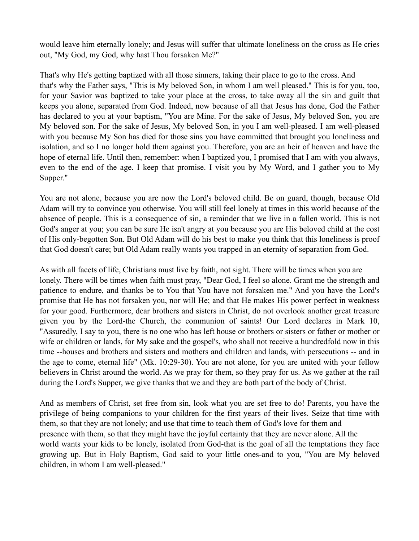would leave him eternally lonely; and Jesus will suffer that ultimate loneliness on the cross as He cries out, "My God, my God, why hast Thou forsaken Me?"

That's why He's getting baptized with all those sinners, taking their place to go to the cross. And that's why the Father says, "This is My beloved Son, in whom I am well pleased." This is for you, too, for your Savior was baptized to take your place at the cross, to take away all the sin and guilt that keeps you alone, separated from God. Indeed, now because of all that Jesus has done, God the Father has declared to you at your baptism, "You are Mine. For the sake of Jesus, My beloved Son, you are My beloved son. For the sake of Jesus, My beloved Son, in you I am well-pleased. I am well-pleased with you because My Son has died for those sins you have committed that brought you loneliness and isolation, and so I no longer hold them against you. Therefore, you are an heir of heaven and have the hope of eternal life. Until then, remember: when I baptized you, I promised that I am with you always, even to the end of the age. I keep that promise. I visit you by My Word, and I gather you to My Supper."

You are not alone, because you are now the Lord's beloved child. Be on guard, though, because Old Adam will try to convince you otherwise. You will still feel lonely at times in this world because of the absence of people. This is a consequence of sin, a reminder that we live in a fallen world. This is not God's anger at you; you can be sure He isn't angry at you because you are His beloved child at the cost of His only-begotten Son. But Old Adam will do his best to make you think that this loneliness is proof that God doesn't care; but Old Adam really wants you trapped in an eternity of separation from God.

As with all facets of life, Christians must live by faith, not sight. There will be times when you are lonely. There will be times when faith must pray, "Dear God, I feel so alone. Grant me the strength and patience to endure, and thanks be to You that You have not forsaken me." And you have the Lord's promise that He has not forsaken you, nor will He; and that He makes His power perfect in weakness for your good. Furthermore, dear brothers and sisters in Christ, do not overlook another great treasure given you by the Lord-the Church, the communion of saints! Our Lord declares in Mark 10, "Assuredly, I say to you, there is no one who has left house or brothers or sisters or father or mother or wife or children or lands, for My sake and the gospel's, who shall not receive a hundredfold now in this time --houses and brothers and sisters and mothers and children and lands, with persecutions -- and in the age to come, eternal life" (Mk. 10:29-30). You are not alone, for you are united with your fellow believers in Christ around the world. As we pray for them, so they pray for us. As we gather at the rail during the Lord's Supper, we give thanks that we and they are both part of the body of Christ.

And as members of Christ, set free from sin, look what you are set free to do! Parents, you have the privilege of being companions to your children for the first years of their lives. Seize that time with them, so that they are not lonely; and use that time to teach them of God's love for them and presence with them, so that they might have the joyful certainty that they are never alone. All the world wants your kids to be lonely, isolated from God-that is the goal of all the temptations they face growing up. But in Holy Baptism, God said to your little ones-and to you, "You are My beloved children, in whom I am well-pleased."